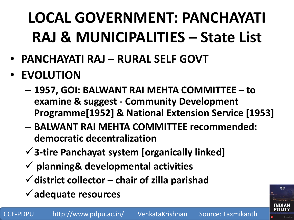# **LOCAL GOVERNMENT: PANCHAYATI RAJ & MUNICIPALITIES – State List**

- **PANCHAYATI RAJ – RURAL SELF GOVT**
- **EVOLUTION**
	- **1957, GOI: BALWANT RAI MEHTA COMMITTEE – to examine & suggest - Community Development Programme[1952] & National Extension Service [1953]**
	- **BALWANT RAI MEHTA COMMITTEE recommended: democratic decentralization**
	- **3-tire Panchayat system [organically linked]**
	- **planning& developmental activities**
	- **district collector – chair of zilla parishad**
	- **adequate resources**

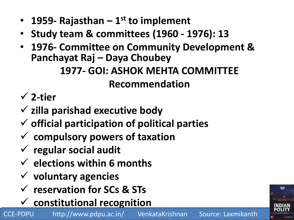- **1959- Rajasthan – 1 st to implement**
- **Study team & committees (1960 - 1976): 13**
- **1976- Committee on Community Development & Panchayat Raj – Daya Choubey 1977- GOI: ASHOK MEHTA COMMITTEE Recommendation**

**2-tier** 

- **zilla parishad executive body**
- **official participation of political parties**
- **compulsory powers of taxation**
- **regular social audit**
- **elections within 6 months**
- **voluntary agencies**
- **reservation for SCs & STs**
- **constitutional recognition**

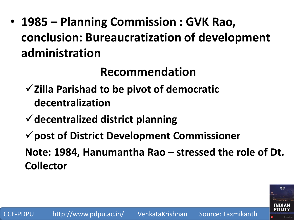• **1985 – Planning Commission : GVK Rao, conclusion: Bureaucratization of development administration**

#### **Recommendation**

- **Zilla Parishad to be pivot of democratic decentralization**
- **decentralized district planning**
- **post of District Development Commissioner**
- **Note: 1984, Hanumantha Rao – stressed the role of Dt. Collector**

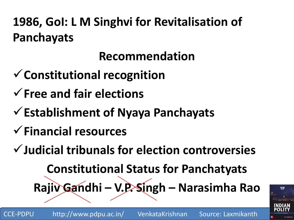**1986, GoI: L M Singhvi for Revitalisation of Panchayats**

**Recommendation**

- **Constitutional recognition**
- **Free and fair elections**
- **Establishment of Nyaya Panchayats**
- **Financial resources**

**Judicial tribunals for election controversies**

**Constitutional Status for Panchatyats**

**Rajiv Gandhi – V.P. Singh – Narasimha Rao**

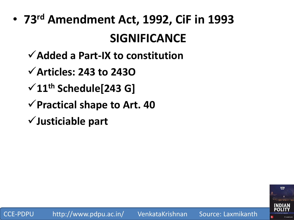# • **73rd Amendment Act, 1992, CiF in 1993 SIGNIFICANCE**

- **Added a Part-IX to constitution**
- **Articles: 243 to 243O**
- **11th Schedule[243 G]**
- **Practical shape to Art. 40**
- **Justiciable part**

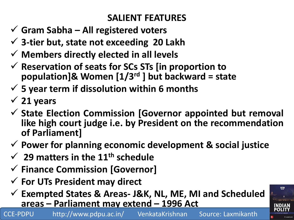#### **SALIENT FEATURES**

- **Gram Sabha – All registered voters**
- **3-tier but, state not exceeding 20 Lakh**
- **Members directly elected in all levels**
- **Reservation of seats for SCs STs [in proportion to population]& Women [1/3rd ] but backward = state**
- **5 year term if dissolution within 6 months**
- **21 years**
- **State Election Commission [Governor appointed but removal like high court judge i.e. by President on the recommendation of Parliament]**
- **Power for planning economic development & social justice**
- **29 matters in the 11th schedule**
- **Finance Commission [Governor]**
- **For UTs President may direct**
- **Exempted States & Areas- J&K, NL, ME, MI and Scheduled areas – Parliament may extend – 1996 Act**

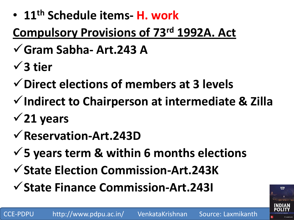• **11th Schedule items- H. work**

## **Compulsory Provisions of 73rd 1992A. Act**

- **Gram Sabha- Art.243 A**
- **3 tier**
- **Direct elections of members at 3 levels**
- **Indirect to Chairperson at intermediate & Zilla**
- **21 years**
- **Reservation-Art.243D**
- **5 years term & within 6 months elections**
- **State Election Commission-Art.243K**
- **State Finance Commission-Art.243I**

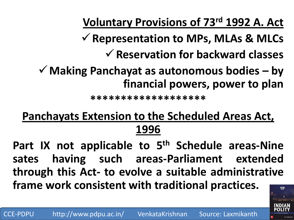**Voluntary Provisions of 73rd 1992 A. Act**

**Representation to MPs, MLAs & MLCs**

**Reservation for backward classes**

**Making Panchayat as autonomous bodies – by financial powers, power to plan**

**\*\*\*\*\*\*\*\*\*\*\*\*\*\*\*\*\*\*\***

#### **Panchayats Extension to the Scheduled Areas Act, 1996**

**Part IX not applicable to 5 th Schedule areas-Nine sates having such areas-Parliament extended through this Act- to evolve a suitable administrative frame work consistent with traditional practices.** FIFTH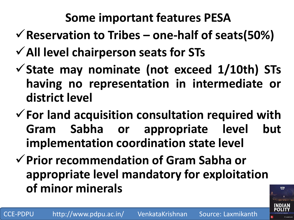### **Some important features PESA**

- $\checkmark$  Reservation to Tribes one-half of seats(50%)
- **All level chairperson seats for STs**
- **State may nominate (not exceed 1/10th) STs having no representation in intermediate or district level**
- **For land acquisition consultation required with Gram Sabha or appropriate level but implementation coordination state level**
- **Prior recommendation of Gram Sabha or appropriate level mandatory for exploitation of minor minerals**

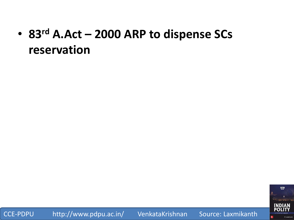### • **83rd A.Act – 2000 ARP to dispense SCs reservation**

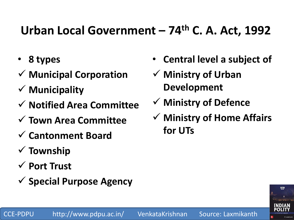#### **Urban Local Government – 74th C. A. Act, 1992**

- **8 types**
- **Municipal Corporation**
- **Municipality**
- **Notified Area Committee**
- **Town Area Committee**
- **Cantonment Board**
- **Township**
- **Port Trust**
- **Special Purpose Agency**
- **Central level a subject of**
- **Ministry of Urban Development**
- **Ministry of Defence**
- **Ministry of Home Affairs for UTs**

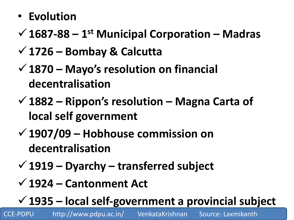#### • **Evolution**

- **1687-88 – 1 st Municipal Corporation – Madras**
- **1726 – Bombay & Calcutta**
- **1870 – Mayo's resolution on financial decentralisation**
- **1882 – Rippon's resolution – Magna Carta of local self government**
- **1907/09 – Hobhouse commission on decentralisation**
- **1919 – Dyarchy – transferred subject**
- **1924 – Cantonment Act**

**1935 – local self-government a provincial subject**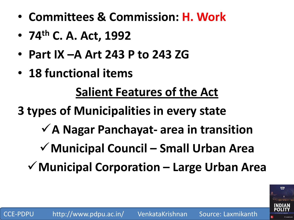- **Committees & Commission: H. Work**
- **74th C. A. Act, 1992**
- **Part IX –A Art 243 P to 243 ZG**
- **18 functional items**

**Salient Features of the Act**

**3 types of Municipalities in every state**

- **A Nagar Panchayat- area in transition**
- **Municipal Council – Small Urban Area**

**Municipal Corporation – Large Urban Area**

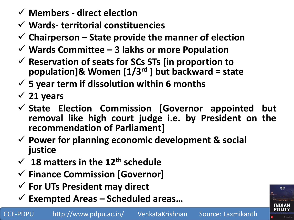- **Members - direct election**
- **Wards- territorial constituencies**
- **Chairperson – State provide the manner of election**
- **Wards Committee – 3 lakhs or more Population**
- **Reservation of seats for SCs STs [in proportion to population]& Women [1/3rd ] but backward = state**
- **5 year term if dissolution within 6 months**
- **21 years**
- **State Election Commission [Governor appointed but removal like high court judge i.e. by President on the recommendation of Parliament]**
- **Power for planning economic development & social justice**
- $\checkmark$  18 matters in the 12<sup>th</sup> schedule
- **Finance Commission [Governor]**
- **For UTs President may direct**
- **Exempted Areas – Scheduled areas…**

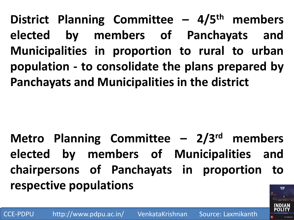**District Planning Committee – 4/5 th members elected by members of Panchayats and Municipalities in proportion to rural to urban population - to consolidate the plans prepared by Panchayats and Municipalities in the district**

**Metro Planning Committee – 2/3 rd members elected by members of Municipalities and chairpersons of Panchayats in proportion to respective populations**

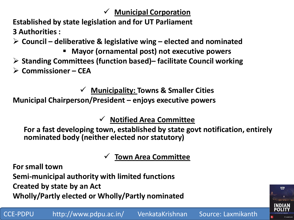#### **Municipal Corporation**

**Established by state legislation and for UT Parliament 3 Authorities :**

- **Council – deliberative & legislative wing – elected and nominated**
	- **Mayor (ornamental post) not executive powers**
- **Standing Committees (function based)– facilitate Council working**
- **Commissioner – CEA**

**Municipality: Towns & Smaller Cities**

**Municipal Chairperson/President – enjoys executive powers**

**Notified Area Committee**

**For a fast developing town, established by state govt notification, entirely nominated body (neither elected nor statutory)**

**Town Area Committee**

**For small town Semi-municipal authority with limited functions Created by state by an Act Wholly/Partly elected or Wholly/Partly nominated**

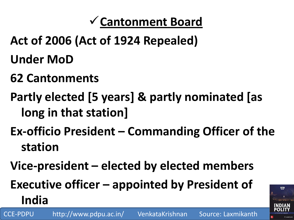## **Cantonment Board**

- **Act of 2006 (Act of 1924 Repealed)**
- **Under MoD**
- **62 Cantonments**
- **Partly elected [5 years] & partly nominated [as long in that station]**
- **Ex-officio President – Commanding Officer of the station**
- **Vice-president – elected by elected members**
- **Executive officer – appointed by President of India**

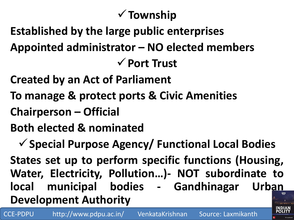#### **Township**

**Established by the large public enterprises Appointed administrator – NO elected members Port Trust**

**Created by an Act of Parliament**

- **To manage & protect ports & Civic Amenities**
- **Chairperson – Official**
- **Both elected & nominated**

**Special Purpose Agency/ Functional Local Bodies States set up to perform specific functions (Housing, Water, Electricity, Pollution…)- NOT subordinate to local municipal bodies - Gandhinagar Urban Development Authority**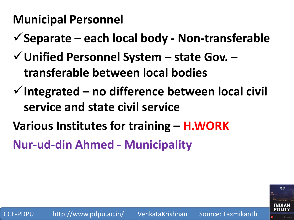#### **Municipal Personnel**

- **Separate – each local body - Non-transferable**
- **Unified Personnel System – state Gov. – transferable between local bodies**
- **Integrated – no difference between local civil service and state civil service**
- **Various Institutes for training – H.WORK**

CCE-PDPU http://www.pdpu.ac.in/ VenkataKrishnan Source: Laxmikanth

**Nur-ud-din Ahmed - Municipality**